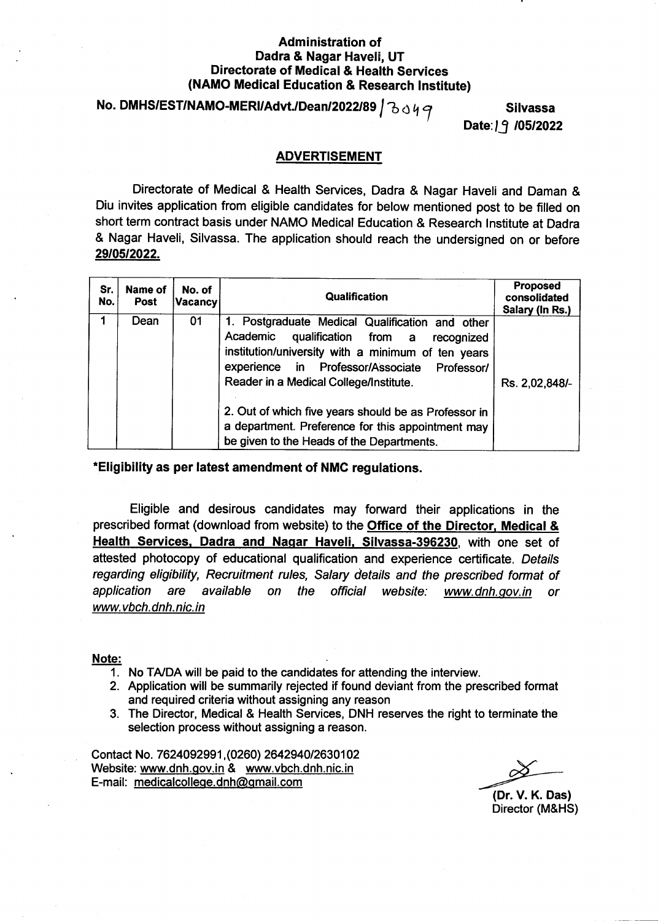#### Administration of Dadra & Nagar Haveli, UT Directorate of Medical & Health Services (NAMO Medical Education & Research lnstitute)

### No. DMHS/EST/NAMO-MERI/Advt./Dean/2022/89  $\int$   $\partial \phi q$

Date: 19 / 05/2022

Silvassa

#### **ADVERTISEMENT**

Directorate of Medical & Health Seryices, Dadra & Nagar Haveli and Daman & Diu invites application from eligible candidates for below mentioned post to be filled on short term contract basis under NAMO Medical Education & Research lnstitute at Dadra & Nagar Haveli, Silvassa. The application should reach the undersigned on or before 29105t2022.

| Sr.<br>No. | Name of<br><b>Post</b> | No. of<br>∣Vacancy∣ | Qualification                                                                                                                                                                                                                                                                                                                                                                                               | <b>Proposed</b><br>consolidated<br>Salary (In Rs.) |
|------------|------------------------|---------------------|-------------------------------------------------------------------------------------------------------------------------------------------------------------------------------------------------------------------------------------------------------------------------------------------------------------------------------------------------------------------------------------------------------------|----------------------------------------------------|
|            | Dean                   | 01                  | 1. Postgraduate Medical Qualification and other<br>Academic<br>qualification from a<br>recognized<br>institution/university with a minimum of ten years<br>experience in Professor/Associate Professor/<br>Reader in a Medical College/Institute.<br>2. Out of which five years should be as Professor in<br>a department. Preference for this appointment may<br>be given to the Heads of the Departments. | Rs. 2,02,848/-                                     |

.Eligibility as per latest amendment of NMC regulations.

Eligible and desirous candidates may forward their applications in the prescribed format (download from website) to the Office of the Director, Medical & Health Services, Dadra and Nagar Haveli, Silvassa-396230, with one set of attested photocopy of educational qualification and experience certificate. Details regarding eligibility, Recruitment rules, Salary details and the prescribed format of application are available on www.vbch.dnh.nic.in the official website: www.dnh.gov.in or

#### Note:

- $1.$  No TA/DA will be paid to the candidates for attending the interview.
- 2. Application will be summarily rejected if found deviant from the prescribed format and required criteria without assigning any reason
- 3. The Director, Medical & Health Services, DNH reserves the right to terminate the selection process without assigning a reason.

Contact No. 762409299 1, (0260) 2642940126301 02 Website: www.dnh.qov.in & www.vbch.dnh.nic.in E-mail: medicalcolleqe.dnh@qmail.com

(Dr. V. K. Das) Director (M&HS)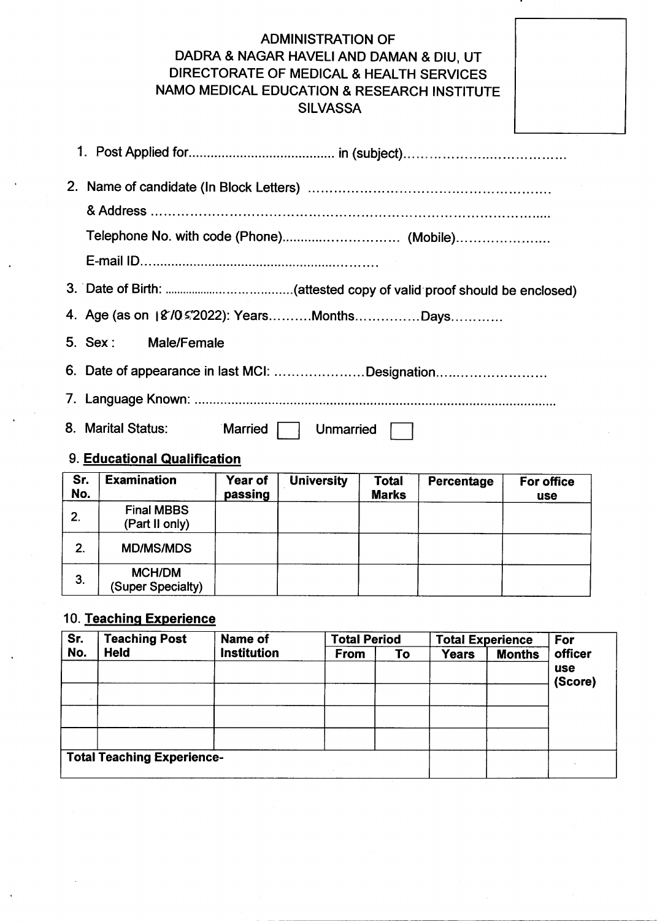### ADMINISTRATION OF DADRA & NAGAR HAVELIAND DAMAN & DIU, UT DIRECTORATE OF MEDICAL & HEALTH SERVICES NAMO MEDICAL EDUCATION & RESEARCH INSTITUTE SILVASSA

| Telephone No. with code (Phone) (Mobile)       |
|------------------------------------------------|
|                                                |
|                                                |
| 4. Age (as on 18/0 s'2022): YearsMonthsDays    |
| 5. Sex: Male/Female                            |
| 6. Date of appearance in last MCI: Designation |
|                                                |
| 8. Marital Status: Married    <br>Unmarried    |
| 9. Educational Qualification                   |

| Sr.<br>No. | <b>Examination</b>                  | Year of<br>passing | <b>University</b> | <b>Total</b><br><b>Marks</b> | Percentage | For office<br><b>use</b> |
|------------|-------------------------------------|--------------------|-------------------|------------------------------|------------|--------------------------|
| 2.         | <b>Final MBBS</b><br>(Part II only) |                    |                   |                              |            |                          |
| 2.         | <b>MD/MS/MDS</b>                    |                    |                   |                              |            |                          |
| 3.         | <b>MCH/DM</b><br>(Super Specialty)  |                    |                   |                              |            |                          |

### 10. Teaching Experience

| Sr. | <b>Teaching Post</b>              | Name of            | <b>Total Period</b> |    | <b>Total Experience</b> |               | For        |
|-----|-----------------------------------|--------------------|---------------------|----|-------------------------|---------------|------------|
| No. | <b>Held</b>                       | <b>Institution</b> | <b>From</b>         | To | <b>Years</b>            | <b>Months</b> | officer    |
|     |                                   |                    |                     |    |                         |               | <b>use</b> |
|     |                                   |                    |                     |    |                         |               | (Score)    |
|     |                                   |                    |                     |    |                         |               |            |
|     |                                   |                    |                     |    |                         |               |            |
|     |                                   |                    |                     |    |                         |               |            |
|     |                                   |                    |                     |    |                         |               |            |
|     | <b>Total Teaching Experience-</b> |                    |                     |    |                         |               |            |